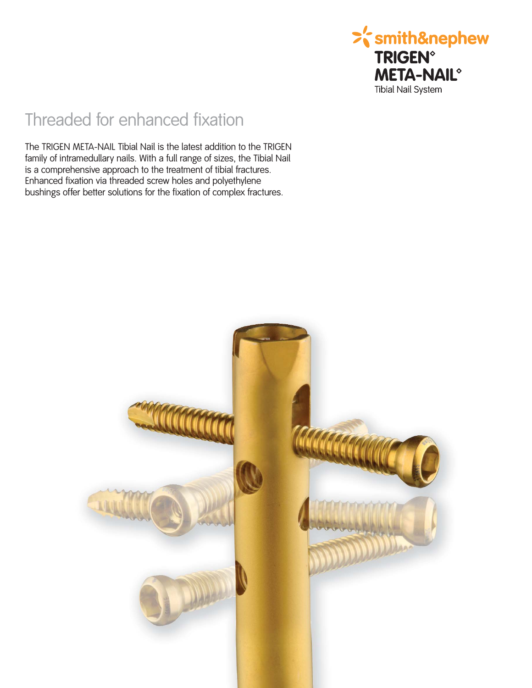

## Threaded for enhanced fixation

The TRIGEN META-NAIL Tibial Nail is the latest addition to the TRIGEN family of intramedullary nails. With a full range of sizes, the Tibial Nail is a comprehensive approach to the treatment of tibial fractures. Enhanced fixation via threaded screw holes and polyethylene bushings offer better solutions for the fixation of complex fractures.